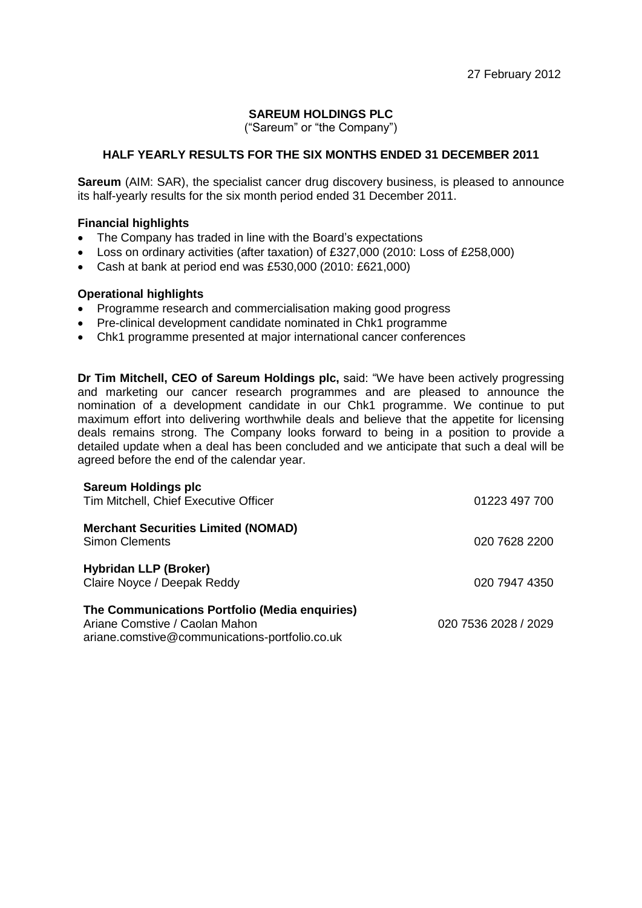# **SAREUM HOLDINGS PLC**

("Sareum" or "the Company")

# **HALF YEARLY RESULTS FOR THE SIX MONTHS ENDED 31 DECEMBER 2011**

**Sareum** (AIM: SAR), the specialist cancer drug discovery business, is pleased to announce its half-yearly results for the six month period ended 31 December 2011.

## **Financial highlights**

- The Company has traded in line with the Board's expectations
- Loss on ordinary activities (after taxation) of £327,000 (2010: Loss of £258,000)
- Cash at bank at period end was £530,000 (2010: £621,000)

## **Operational highlights**

- Programme research and commercialisation making good progress
- Pre-clinical development candidate nominated in Chk1 programme
- Chk1 programme presented at major international cancer conferences

**Dr Tim Mitchell, CEO of Sareum Holdings plc,** said: "We have been actively progressing and marketing our cancer research programmes and are pleased to announce the nomination of a development candidate in our Chk1 programme. We continue to put maximum effort into delivering worthwhile deals and believe that the appetite for licensing deals remains strong. The Company looks forward to being in a position to provide a detailed update when a deal has been concluded and we anticipate that such a deal will be agreed before the end of the calendar year.

| <b>Sareum Holdings plc</b><br>Tim Mitchell, Chief Executive Officer                                                                | 01223 497 700        |
|------------------------------------------------------------------------------------------------------------------------------------|----------------------|
| <b>Merchant Securities Limited (NOMAD)</b><br><b>Simon Clements</b>                                                                | 020 7628 2200        |
| <b>Hybridan LLP (Broker)</b><br>Claire Noyce / Deepak Reddy                                                                        | 020 7947 4350        |
| The Communications Portfolio (Media enquiries)<br>Ariane Comstive / Caolan Mahon<br>ariane.comstive@communications-portfolio.co.uk | 020 7536 2028 / 2029 |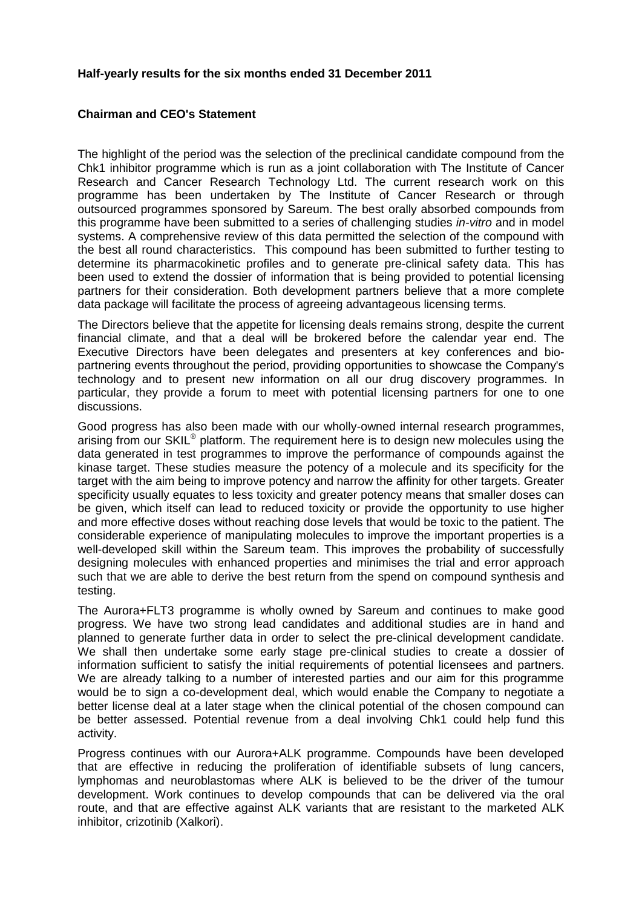### **Half-yearly results for the six months ended 31 December 2011**

# **Chairman and CEO's Statement**

The highlight of the period was the selection of the preclinical candidate compound from the Chk1 inhibitor programme which is run as a joint collaboration with The Institute of Cancer Research and Cancer Research Technology Ltd. The current research work on this programme has been undertaken by The Institute of Cancer Research or through outsourced programmes sponsored by Sareum. The best orally absorbed compounds from this programme have been submitted to a series of challenging studies *in-vitro* and in model systems. A comprehensive review of this data permitted the selection of the compound with the best all round characteristics. This compound has been submitted to further testing to determine its pharmacokinetic profiles and to generate pre-clinical safety data. This has been used to extend the dossier of information that is being provided to potential licensing partners for their consideration. Both development partners believe that a more complete data package will facilitate the process of agreeing advantageous licensing terms.

The Directors believe that the appetite for licensing deals remains strong, despite the current financial climate, and that a deal will be brokered before the calendar year end. The Executive Directors have been delegates and presenters at key conferences and biopartnering events throughout the period, providing opportunities to showcase the Company's technology and to present new information on all our drug discovery programmes. In particular, they provide a forum to meet with potential licensing partners for one to one discussions.

Good progress has also been made with our wholly-owned internal research programmes, arising from our SKIL<sup>®</sup> platform. The requirement here is to design new molecules using the data generated in test programmes to improve the performance of compounds against the kinase target. These studies measure the potency of a molecule and its specificity for the target with the aim being to improve potency and narrow the affinity for other targets. Greater specificity usually equates to less toxicity and greater potency means that smaller doses can be given, which itself can lead to reduced toxicity or provide the opportunity to use higher and more effective doses without reaching dose levels that would be toxic to the patient. The considerable experience of manipulating molecules to improve the important properties is a well-developed skill within the Sareum team. This improves the probability of successfully designing molecules with enhanced properties and minimises the trial and error approach such that we are able to derive the best return from the spend on compound synthesis and testing.

The Aurora+FLT3 programme is wholly owned by Sareum and continues to make good progress. We have two strong lead candidates and additional studies are in hand and planned to generate further data in order to select the pre-clinical development candidate. We shall then undertake some early stage pre-clinical studies to create a dossier of information sufficient to satisfy the initial requirements of potential licensees and partners. We are already talking to a number of interested parties and our aim for this programme would be to sign a co-development deal, which would enable the Company to negotiate a better license deal at a later stage when the clinical potential of the chosen compound can be better assessed. Potential revenue from a deal involving Chk1 could help fund this activity.

Progress continues with our Aurora+ALK programme. Compounds have been developed that are effective in reducing the proliferation of identifiable subsets of lung cancers, lymphomas and neuroblastomas where ALK is believed to be the driver of the tumour development. Work continues to develop compounds that can be delivered via the oral route, and that are effective against ALK variants that are resistant to the marketed ALK inhibitor, crizotinib (Xalkori).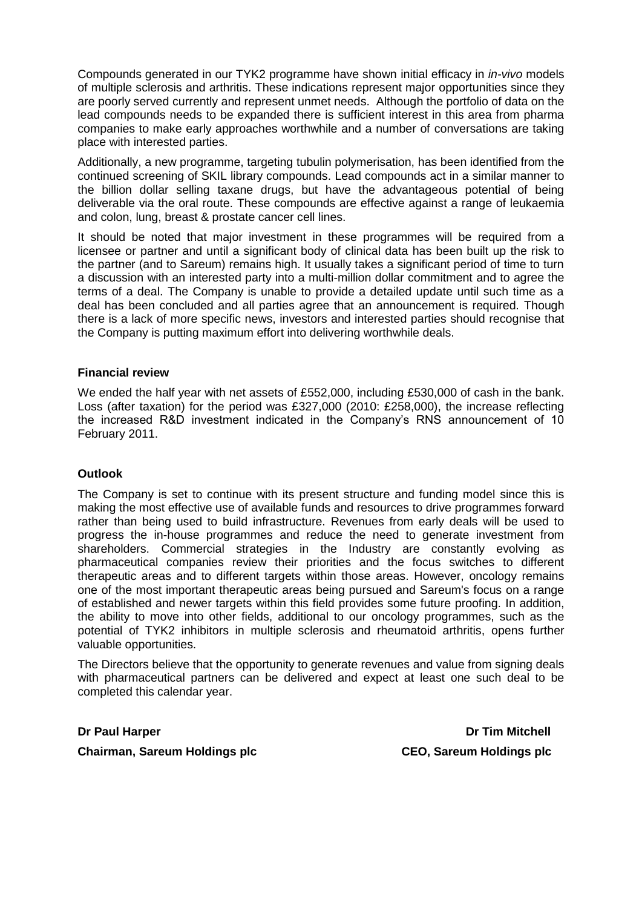Compounds generated in our TYK2 programme have shown initial efficacy in *in-vivo* models of multiple sclerosis and arthritis. These indications represent major opportunities since they are poorly served currently and represent unmet needs. Although the portfolio of data on the lead compounds needs to be expanded there is sufficient interest in this area from pharma companies to make early approaches worthwhile and a number of conversations are taking place with interested parties.

Additionally, a new programme, targeting tubulin polymerisation, has been identified from the continued screening of SKIL library compounds. Lead compounds act in a similar manner to the billion dollar selling taxane drugs, but have the advantageous potential of being deliverable via the oral route. These compounds are effective against a range of leukaemia and colon, lung, breast & prostate cancer cell lines.

It should be noted that major investment in these programmes will be required from a licensee or partner and until a significant body of clinical data has been built up the risk to the partner (and to Sareum) remains high. It usually takes a significant period of time to turn a discussion with an interested party into a multi-million dollar commitment and to agree the terms of a deal. The Company is unable to provide a detailed update until such time as a deal has been concluded and all parties agree that an announcement is required. Though there is a lack of more specific news, investors and interested parties should recognise that the Company is putting maximum effort into delivering worthwhile deals.

## **Financial review**

We ended the half year with net assets of £552,000, including £530,000 of cash in the bank. Loss (after taxation) for the period was £327,000 (2010: £258,000), the increase reflecting the increased R&D investment indicated in the Company's RNS announcement of 10 February 2011.

# **Outlook**

The Company is set to continue with its present structure and funding model since this is making the most effective use of available funds and resources to drive programmes forward rather than being used to build infrastructure. Revenues from early deals will be used to progress the in-house programmes and reduce the need to generate investment from shareholders. Commercial strategies in the Industry are constantly evolving as pharmaceutical companies review their priorities and the focus switches to different therapeutic areas and to different targets within those areas. However, oncology remains one of the most important therapeutic areas being pursued and Sareum's focus on a range of established and newer targets within this field provides some future proofing. In addition, the ability to move into other fields, additional to our oncology programmes, such as the potential of TYK2 inhibitors in multiple sclerosis and rheumatoid arthritis, opens further valuable opportunities.

The Directors believe that the opportunity to generate revenues and value from signing deals with pharmaceutical partners can be delivered and expect at least one such deal to be completed this calendar year.

**Chairman, Sareum Holdings plc CEO, Sareum Holdings plc**

**Dr Paul Harper Dr Tim Mitchell**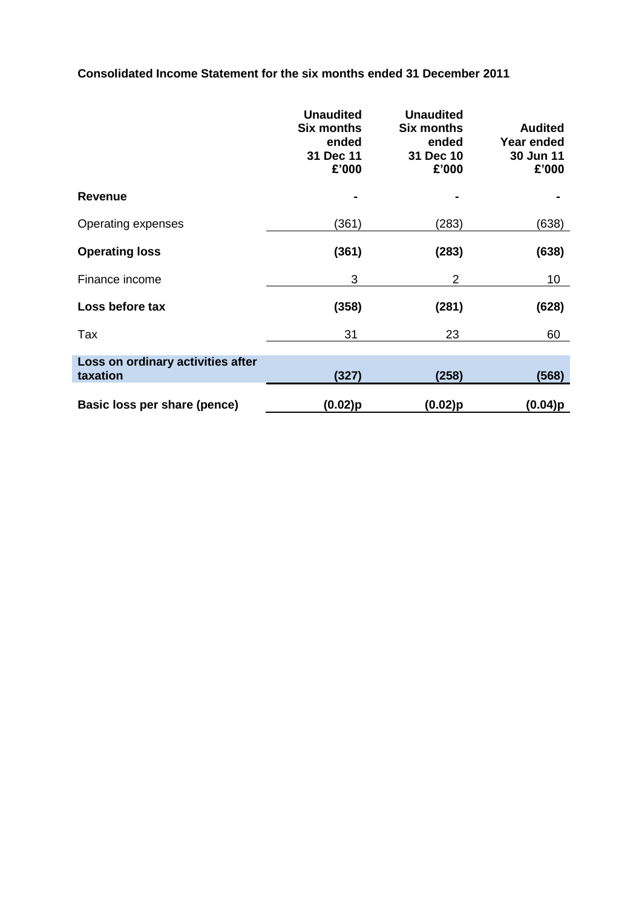**Consolidated Income Statement for the six months ended 31 December 2011**

|                                               | <b>Unaudited</b><br><b>Six months</b><br>ended<br>31 Dec 11<br>£'000 | <b>Unaudited</b><br><b>Six months</b><br>ended<br>31 Dec 10<br>£'000 | <b>Audited</b><br>Year ended<br>30 Jun 11<br>£'000 |
|-----------------------------------------------|----------------------------------------------------------------------|----------------------------------------------------------------------|----------------------------------------------------|
| <b>Revenue</b>                                |                                                                      |                                                                      |                                                    |
| Operating expenses                            | (361)                                                                | (283)                                                                | (638)                                              |
| <b>Operating loss</b>                         | (361)                                                                | (283)                                                                | (638)                                              |
| Finance income                                | 3                                                                    | 2                                                                    | 10                                                 |
| Loss before tax                               | (358)                                                                | (281)                                                                | (628)                                              |
| Tax                                           | 31                                                                   | 23                                                                   | 60                                                 |
| Loss on ordinary activities after<br>taxation | (327)                                                                | (258)                                                                | (568)                                              |
| Basic loss per share (pence)                  | (0.02)p                                                              | (0.02)p                                                              | (0.04)p                                            |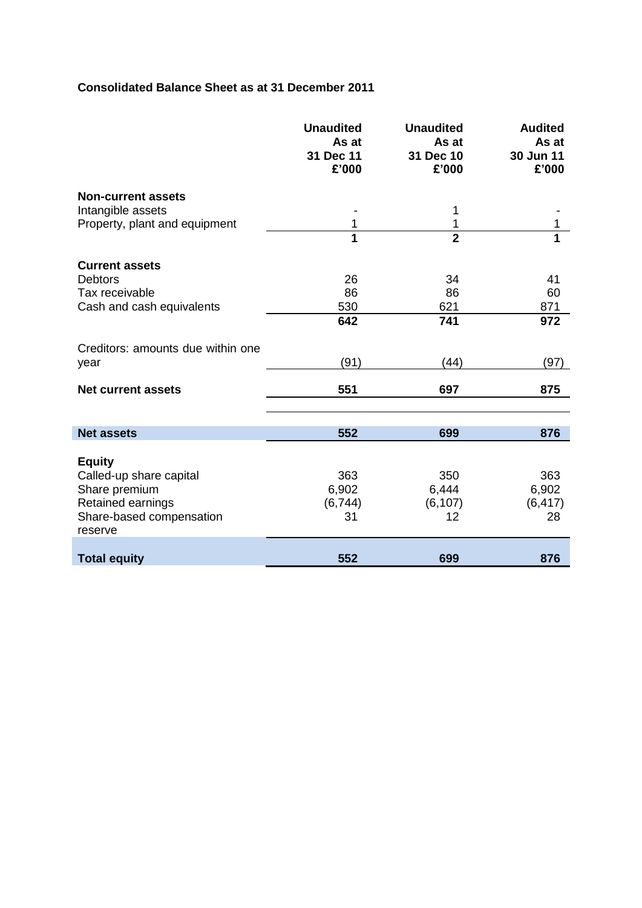# **Consolidated Balance Sheet as at 31 December 2011**

I

|                                                                                                                       | <b>Unaudited</b><br>As at<br>31 Dec 11<br>£'000 | <b>Unaudited</b><br>As at<br>31 Dec 10<br>£'000 | <b>Audited</b><br>As at<br>30 Jun 11<br>£'000 |
|-----------------------------------------------------------------------------------------------------------------------|-------------------------------------------------|-------------------------------------------------|-----------------------------------------------|
| <b>Non-current assets</b><br>Intangible assets<br>Property, plant and equipment                                       | 1                                               | 1<br>1                                          | 1                                             |
|                                                                                                                       | 1                                               | $\overline{2}$                                  | 1                                             |
| <b>Current assets</b><br><b>Debtors</b><br>Tax receivable<br>Cash and cash equivalents                                | 26<br>86<br>530<br>642                          | 34<br>86<br>621<br>741                          | 41<br>60<br>871<br>972                        |
| Creditors: amounts due within one<br>year                                                                             | (91)                                            | (44)                                            | (97)                                          |
| <b>Net current assets</b>                                                                                             | 551                                             | 697                                             | 875                                           |
| <b>Net assets</b>                                                                                                     | 552                                             | 699                                             | 876                                           |
| <b>Equity</b><br>Called-up share capital<br>Share premium<br>Retained earnings<br>Share-based compensation<br>reserve | 363<br>6,902<br>(6, 744)<br>31                  | 350<br>6,444<br>(6, 107)<br>12                  | 363<br>6,902<br>(6, 417)<br>28                |
| <b>Total equity</b>                                                                                                   | 552                                             | 699                                             | 876                                           |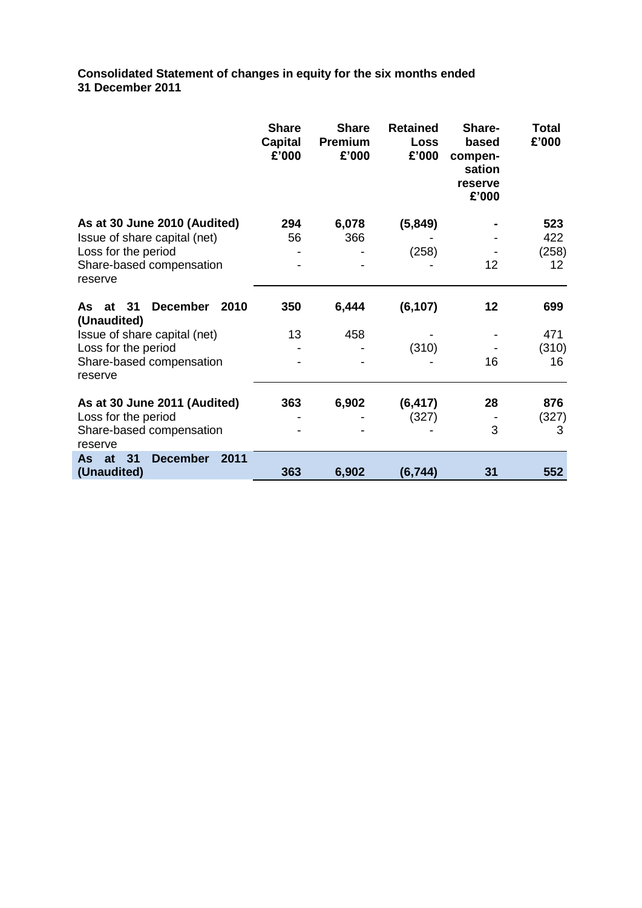**Consolidated Statement of changes in equity for the six months ended 31 December 2011**

|                                                                                                                                                        | <b>Share</b><br><b>Capital</b><br>£'000 | <b>Share</b><br><b>Premium</b><br>£'000 | <b>Retained</b><br><b>Loss</b><br>£'000 | Share-<br>based<br>compen-<br>sation<br>reserve<br>£'000 | <b>Total</b><br>£'000     |
|--------------------------------------------------------------------------------------------------------------------------------------------------------|-----------------------------------------|-----------------------------------------|-----------------------------------------|----------------------------------------------------------|---------------------------|
| As at 30 June 2010 (Audited)<br>Issue of share capital (net)<br>Loss for the period<br>Share-based compensation<br>reserve                             | 294<br>56                               | 6,078<br>366                            | (5, 849)<br>(258)                       | 12                                                       | 523<br>422<br>(258)<br>12 |
| <b>December</b><br>2010<br>As<br>at<br>31<br>(Unaudited)<br>Issue of share capital (net)<br>Loss for the period<br>Share-based compensation<br>reserve | 350<br>13                               | 6,444<br>458                            | (6, 107)<br>(310)                       | 12<br>16                                                 | 699<br>471<br>(310)<br>16 |
| As at 30 June 2011 (Audited)<br>Loss for the period<br>Share-based compensation<br>reserve                                                             | 363                                     | 6,902                                   | (6, 417)<br>(327)                       | 28<br>3                                                  | 876<br>(327)<br>3         |
| 31<br><b>December</b><br>2011<br>As at<br>(Unaudited)                                                                                                  | 363                                     | 6,902                                   | (6, 744)                                | 31                                                       | 552                       |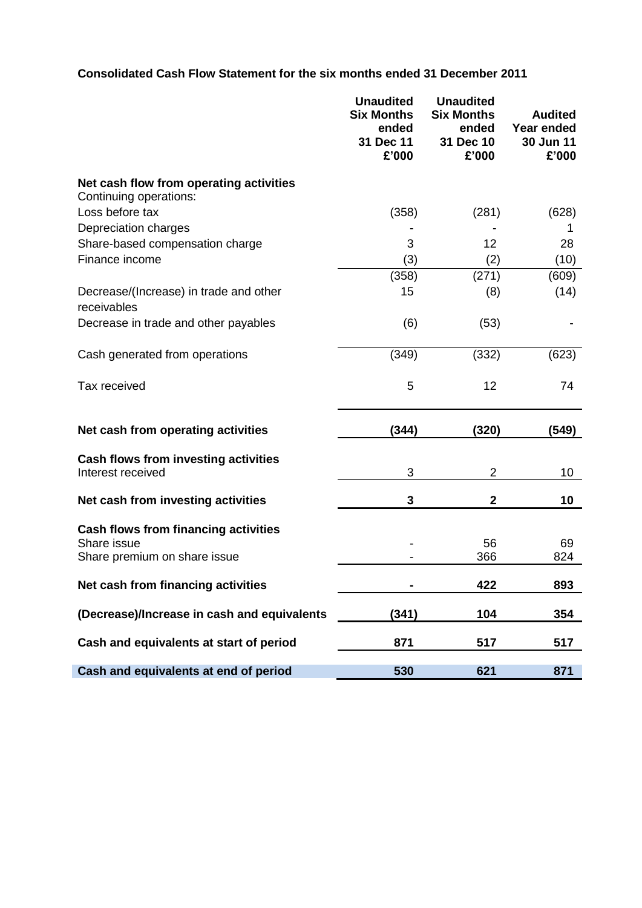# **Consolidated Cash Flow Statement for the six months ended 31 December 2011**

|                                                                   | <b>Unaudited</b><br><b>Six Months</b><br>ended<br>31 Dec 11<br>£'000 | <b>Unaudited</b><br><b>Six Months</b><br>ended<br>31 Dec 10<br>£'000 | <b>Audited</b><br>Year ended<br>30 Jun 11<br>£'000 |
|-------------------------------------------------------------------|----------------------------------------------------------------------|----------------------------------------------------------------------|----------------------------------------------------|
| Net cash flow from operating activities<br>Continuing operations: |                                                                      |                                                                      |                                                    |
| Loss before tax                                                   | (358)                                                                | (281)                                                                | (628)                                              |
| Depreciation charges                                              |                                                                      |                                                                      | 1                                                  |
| Share-based compensation charge                                   | 3                                                                    | 12                                                                   | 28                                                 |
| Finance income                                                    | (3)                                                                  | (2)                                                                  | (10)                                               |
|                                                                   | (358)                                                                | (271)                                                                | (609)                                              |
| Decrease/(Increase) in trade and other<br>receivables             | 15                                                                   | (8)                                                                  | (14)                                               |
| Decrease in trade and other payables                              | (6)                                                                  | (53)                                                                 |                                                    |
| Cash generated from operations                                    | (349)                                                                | (332)                                                                | (623)                                              |
| Tax received                                                      | 5                                                                    | 12                                                                   | 74                                                 |
| Net cash from operating activities                                | (344)                                                                | (320)                                                                | (549)                                              |
| Cash flows from investing activities<br>Interest received         | 3                                                                    | $\overline{2}$                                                       | 10                                                 |
| Net cash from investing activities                                | 3                                                                    | $\mathbf 2$                                                          | 10                                                 |
| <b>Cash flows from financing activities</b><br>Share issue        |                                                                      | 56                                                                   | 69                                                 |
| Share premium on share issue                                      |                                                                      | 366                                                                  | 824                                                |
| Net cash from financing activities                                |                                                                      | 422                                                                  | 893                                                |
| (Decrease)/Increase in cash and equivalents                       | (341)                                                                | 104                                                                  | 354                                                |
| Cash and equivalents at start of period                           | 871                                                                  | 517                                                                  | 517                                                |
| Cash and equivalents at end of period                             | 530                                                                  | 621                                                                  | 871                                                |